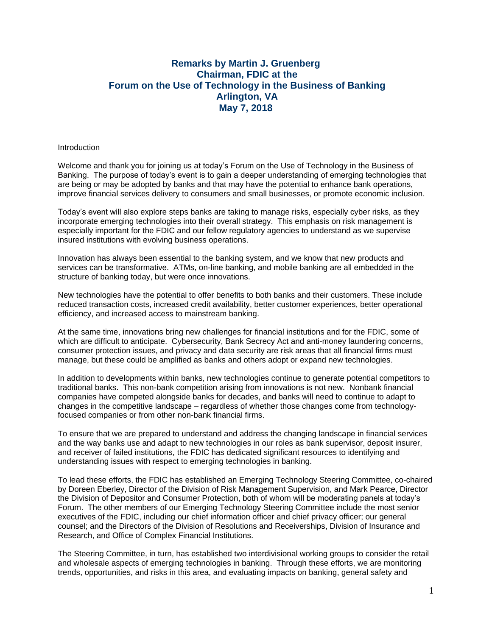## **Remarks by Martin J. Gruenberg Chairman, FDIC at the Forum on the Use of Technology in the Business of Banking Arlington, VA May 7, 2018**

## **Introduction**

Welcome and thank you for joining us at today's Forum on the Use of Technology in the Business of Banking. The purpose of today's event is to gain a deeper understanding of emerging technologies that are being or may be adopted by banks and that may have the potential to enhance bank operations, improve financial services delivery to consumers and small businesses, or promote economic inclusion.

Today's event will also explore steps banks are taking to manage risks, especially cyber risks, as they incorporate emerging technologies into their overall strategy. This emphasis on risk management is especially important for the FDIC and our fellow regulatory agencies to understand as we supervise insured institutions with evolving business operations.

Innovation has always been essential to the banking system, and we know that new products and services can be transformative. ATMs, on-line banking, and mobile banking are all embedded in the structure of banking today, but were once innovations.

New technologies have the potential to offer benefits to both banks and their customers. These include reduced transaction costs, increased credit availability, better customer experiences, better operational efficiency, and increased access to mainstream banking.

At the same time, innovations bring new challenges for financial institutions and for the FDIC, some of which are difficult to anticipate. Cybersecurity, Bank Secrecy Act and anti-money laundering concerns, consumer protection issues, and privacy and data security are risk areas that all financial firms must manage, but these could be amplified as banks and others adopt or expand new technologies.

In addition to developments within banks, new technologies continue to generate potential competitors to traditional banks. This non-bank competition arising from innovations is not new. Nonbank financial companies have competed alongside banks for decades, and banks will need to continue to adapt to changes in the competitive landscape – regardless of whether those changes come from technologyfocused companies or from other non-bank financial firms.

To ensure that we are prepared to understand and address the changing landscape in financial services and the way banks use and adapt to new technologies in our roles as bank supervisor, deposit insurer, and receiver of failed institutions, the FDIC has dedicated significant resources to identifying and understanding issues with respect to emerging technologies in banking.

To lead these efforts, the FDIC has established an Emerging Technology Steering Committee, co-chaired by Doreen Eberley, Director of the Division of Risk Management Supervision, and Mark Pearce, Director the Division of Depositor and Consumer Protection, both of whom will be moderating panels at today's Forum. The other members of our Emerging Technology Steering Committee include the most senior executives of the FDIC, including our chief information officer and chief privacy officer; our general counsel; and the Directors of the Division of Resolutions and Receiverships, Division of Insurance and Research, and Office of Complex Financial Institutions.

The Steering Committee, in turn, has established two interdivisional working groups to consider the retail and wholesale aspects of emerging technologies in banking. Through these efforts, we are monitoring trends, opportunities, and risks in this area, and evaluating impacts on banking, general safety and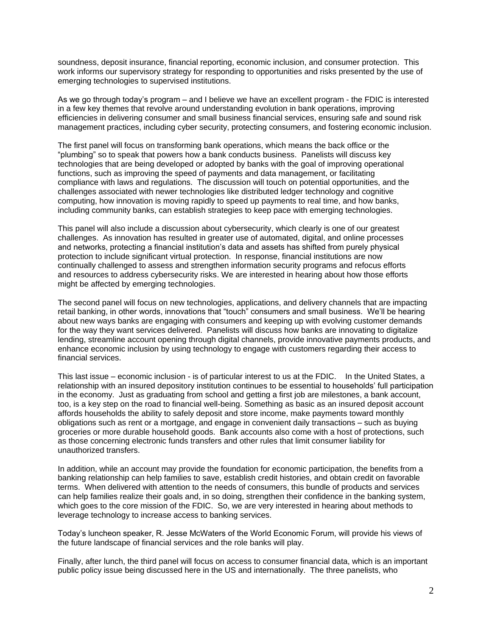soundness, deposit insurance, financial reporting, economic inclusion, and consumer protection. This work informs our supervisory strategy for responding to opportunities and risks presented by the use of emerging technologies to supervised institutions.

As we go through today's program – and I believe we have an excellent program - the FDIC is interested in a few key themes that revolve around understanding evolution in bank operations, improving efficiencies in delivering consumer and small business financial services, ensuring safe and sound risk management practices, including cyber security, protecting consumers, and fostering economic inclusion.

The first panel will focus on transforming bank operations, which means the back office or the "plumbing" so to speak that powers how a bank conducts business. Panelists will discuss key technologies that are being developed or adopted by banks with the goal of improving operational functions, such as improving the speed of payments and data management, or facilitating compliance with laws and regulations. The discussion will touch on potential opportunities, and the challenges associated with newer technologies like distributed ledger technology and cognitive computing, how innovation is moving rapidly to speed up payments to real time, and how banks, including community banks, can establish strategies to keep pace with emerging technologies.

This panel will also include a discussion about cybersecurity, which clearly is one of our greatest challenges. As innovation has resulted in greater use of automated, digital, and online processes and networks, protecting a financial institution's data and assets has shifted from purely physical protection to include significant virtual protection. In response, financial institutions are now continually challenged to assess and strengthen information security programs and refocus efforts and resources to address cybersecurity risks. We are interested in hearing about how those efforts might be affected by emerging technologies.

The second panel will focus on new technologies, applications, and delivery channels that are impacting retail banking, in other words, innovations that "touch" consumers and small business. We'll be hearing about new ways banks are engaging with consumers and keeping up with evolving customer demands for the way they want services delivered. Panelists will discuss how banks are innovating to digitalize lending, streamline account opening through digital channels, provide innovative payments products, and enhance economic inclusion by using technology to engage with customers regarding their access to financial services.

This last issue – economic inclusion - is of particular interest to us at the FDIC. In the United States, a relationship with an insured depository institution continues to be essential to households' full participation in the economy. Just as graduating from school and getting a first job are milestones, a bank account, too, is a key step on the road to financial well-being. Something as basic as an insured deposit account affords households the ability to safely deposit and store income, make payments toward monthly obligations such as rent or a mortgage, and engage in convenient daily transactions – such as buying groceries or more durable household goods. Bank accounts also come with a host of protections, such as those concerning electronic funds transfers and other rules that limit consumer liability for unauthorized transfers.

In addition, while an account may provide the foundation for economic participation, the benefits from a banking relationship can help families to save, establish credit histories, and obtain credit on favorable terms. When delivered with attention to the needs of consumers, this bundle of products and services can help families realize their goals and, in so doing, strengthen their confidence in the banking system, which goes to the core mission of the FDIC. So, we are very interested in hearing about methods to leverage technology to increase access to banking services.

Today's luncheon speaker, R. Jesse McWaters of the World Economic Forum, will provide his views of the future landscape of financial services and the role banks will play.

Finally, after lunch, the third panel will focus on access to consumer financial data, which is an important public policy issue being discussed here in the US and internationally. The three panelists, who